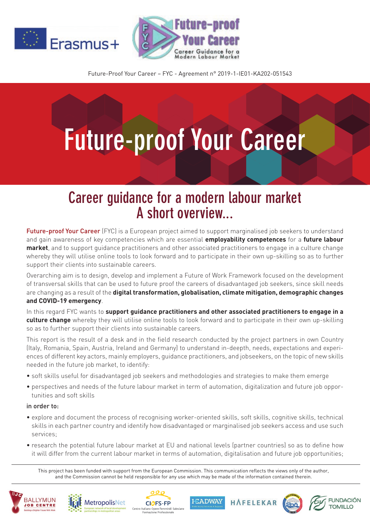



Future-Proof Your Career – FYC - Agreement n° 2019-1-IE01-KA202-051543

## **Future-proof Your Career**

## **Career guidance for a modern labour market A short overview...**

Future-proof Your Career (FYC) is a European project aimed to support marginalised job seekers to understand and gain awareness of key competencies which are essential **employability competences** for a **future labour market**, and to support guidance practitioners and other associated practitioners to engage in a culture change whereby they will utilise online tools to look forward and to participate in their own up-skilling so as to further support their clients into sustainable careers.

Overarching aim is to design, develop and implement a Future of Work Framework focused on the development of transversal skills that can be used to future proof the careers of disadvantaged job seekers, since skill needs are changing as a result of the **digital transformation, globalisation, climate mitigation, demographic changes and COVID-19 emergency**.

In this regard FYC wants to **support guidance practitioners and other associated practitioners to engage in a culture change** whereby they will utilise online tools to look forward and to participate in their own up-skilling so as to further support their clients into sustainable careers.

This report is the result of a desk and in the field research conducted by the project partners in own Country (Italy, Romania, Spain, Austria, Ireland and Germany) to understand in-deepth, needs, expectations and experiences of different key actors, mainly employers, guidance practitioners, and jobseekers, on the topic of new skills needed in the future job market, to identify:

- soft skills useful for disadvantaged job seekers and methodologies and strategies to make them emerge
- perspectives and needs of the future labour market in term of automation, digitalization and future job opportunities and soft skills

## in order to:

- explore and document the process of recognising worker-oriented skills, soft skills, cognitive skills, technical skills in each partner country and identify how disadvantaged or marginalised job seekers access and use such services;
- research the potential future labour market at EU and national levels (partner countries) so as to define how it will differ from the current labour market in terms of automation, digitalisation and future job opportunities;

This project has been funded with support from the European Commission. This communication reflects the views only of the author, and the Commission cannot be held responsible for any use which may be made of the information contained therein.

**HEADWAY** 

HAFFLFKAR

**FUNDACIÓN** 

**TOMILLO**